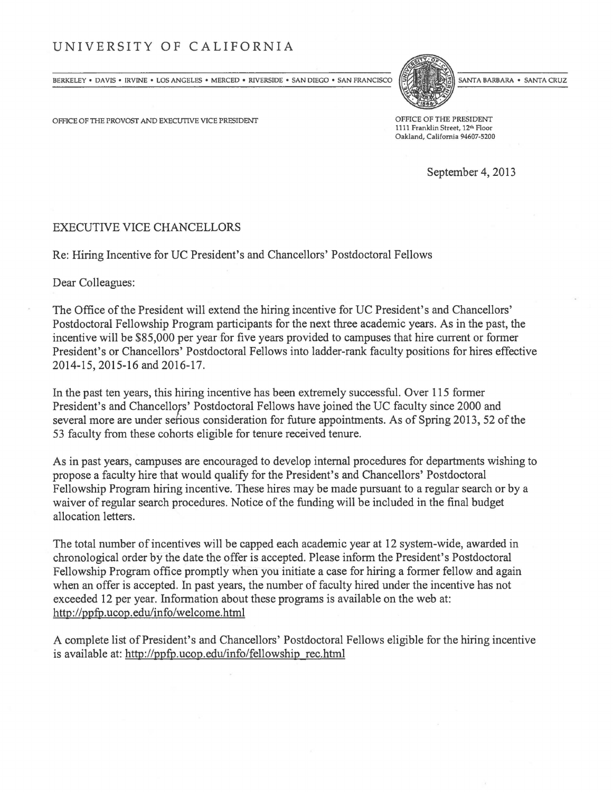## UNIVERSITY OF CALIFORNIA

BERKELEY . DAVIS . IRVINE . LOS ANGELES . MERCED . RIVERSIDE . SAN DIEGO . SAN FRANCISCO

OFFICE OF THE PROVOST AND EXECUTIVE VICE PRESIDENT **OFFICE OF THE PRESIDENT** 

SANTA BARBARA . SANTA CRUZ

1111 Franklin Street, 12<sup>th</sup> Floor Oakland, California 94607-5200

September 4, 2013

## EXECUTIVE VICE CHANCELLORS

Re: Hiring Incentive for UC President's and Chancellors' Postdoctoral Fellows

Dear Colleagues:

The Office of the President will extend the hiring incentive for UC President's and Chancellors' Postdoctoral Fellowship Program participants for the next three academic years. As in the past, the incentive will be \$85,000 per year for five years provided to campuses that hire current or former President's or Chancellors' Postdoctoral Fellows into ladder-rank faculty positions for hires effective 2014-15,2015-16 and 2016-17.

In the past ten years, this hiring incentive has been extremely successful. Over 115 former President's and Chancellors' Postdoctoral Fellows have joined the UC faculty since 2000 and several more are under serious consideration for future appointments. As of Spring 2013, 52 of the 53 faculty from these cohorts eligible for tenure received tenure.

As in past years, campuses are encouraged to develop internal procedures for departments wishing to propose a faculty hire that would qualify for the President's and Chancellors' Postdoctoral Fellowship Program hiring incentive. These hires may be made pursuant to a regular search or by a waiver of regular search procedures. Notice of the funding will be included in the final budget allocation letters.

The total number of incentives will be capped each academic year at 12 system-wide, awarded in chronological order by the date the offer is accepted. Please inform the President's Postdoctoral Fellowship Program office promptly when you initiate a case for hiring a former fellow and again when an offer is accepted. In past years, the number of faculty hired under the incentive has not exceeded 12 per year. Information about these programs is available on the web at: http://ppfp.ucop.edu/info/welcome.html

A complete list of President's and Chancellors' Postdoctoral Fellows eligible for the hiring incentive is available at: http://ppfp.ucop.edu/info/fellowship rec.html